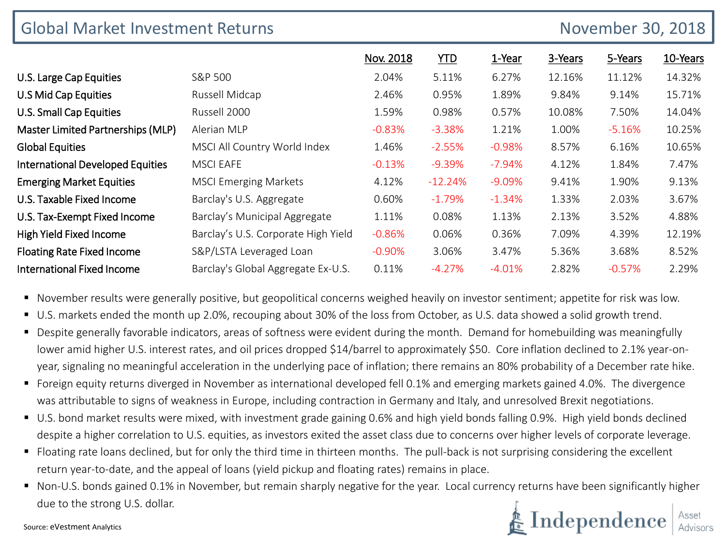| <b>Global Market Investment Returns</b> |                                     |           |            |           |         | November 30, 2018 |          |
|-----------------------------------------|-------------------------------------|-----------|------------|-----------|---------|-------------------|----------|
|                                         |                                     | Nov. 2018 | <b>YTD</b> | 1-Year    | 3-Years | 5-Years           | 10-Years |
| U.S. Large Cap Equities                 | S&P 500                             | 2.04%     | 5.11%      | 6.27%     | 12.16%  | 11.12%            | 14.32%   |
| U.S Mid Cap Equities                    | Russell Midcap                      | 2.46%     | 0.95%      | 1.89%     | 9.84%   | 9.14%             | 15.71%   |
| <b>U.S. Small Cap Equities</b>          | Russell 2000                        | 1.59%     | 0.98%      | 0.57%     | 10.08%  | 7.50%             | 14.04%   |
| Master Limited Partnerships (MLP)       | Alerian MLP                         | $-0.83%$  | $-3.38%$   | 1.21%     | 1.00%   | $-5.16%$          | 10.25%   |
| <b>Global Equities</b>                  | MSCI All Country World Index        | 1.46%     | $-2.55%$   | $-0.98%$  | 8.57%   | 6.16%             | 10.65%   |
| <b>International Developed Equities</b> | MSCI EAFE                           | $-0.13%$  | $-9.39%$   | -7.94%    | 4.12%   | 1.84%             | 7.47%    |
| <b>Emerging Market Equities</b>         | <b>MSCI Emerging Markets</b>        | 4.12%     | $-12.24%$  | $-9.09\%$ | 9.41%   | 1.90%             | 9.13%    |
| U.S. Taxable Fixed Income               | Barclay's U.S. Aggregate            | 0.60%     | $-1.79%$   | $-1.34%$  | 1.33%   | 2.03%             | 3.67%    |
| U.S. Tax-Exempt Fixed Income            | Barclay's Municipal Aggregate       | 1.11%     | 0.08%      | 1.13%     | 2.13%   | 3.52%             | 4.88%    |
| High Yield Fixed Income                 | Barclay's U.S. Corporate High Yield | $-0.86%$  | 0.06%      | 0.36%     | 7.09%   | 4.39%             | 12.19%   |
| <b>Floating Rate Fixed Income</b>       | S&P/LSTA Leveraged Loan             | $-0.90%$  | 3.06%      | 3.47%     | 5.36%   | 3.68%             | 8.52%    |
| <b>International Fixed Income</b>       | Barclay's Global Aggregate Ex-U.S.  | 0.11%     | $-4.27%$   | $-4.01%$  | 2.82%   | $-0.57%$          | 2.29%    |

November results were generally positive, but geopolitical concerns weighed heavily on investor sentiment; appetite for risk was low.

- U.S. markets ended the month up 2.0%, recouping about 30% of the loss from October, as U.S. data showed a solid growth trend.
- Despite generally favorable indicators, areas of softness were evident during the month. Demand for homebuilding was meaningfully lower amid higher U.S. interest rates, and oil prices dropped \$14/barrel to approximately \$50. Core inflation declined to 2.1% year-onyear, signaling no meaningful acceleration in the underlying pace of inflation; there remains an 80% probability of a December rate hike.
- Foreign equity returns diverged in November as international developed fell 0.1% and emerging markets gained 4.0%. The divergence was attributable to signs of weakness in Europe, including contraction in Germany and Italy, and unresolved Brexit negotiations.
- U.S. bond market results were mixed, with investment grade gaining 0.6% and high yield bonds falling 0.9%. High yield bonds declined despite a higher correlation to U.S. equities, as investors exited the asset class due to concerns over higher levels of corporate leverage.
- Floating rate loans declined, but for only the third time in thirteen months. The pull-back is not surprising considering the excellent return year-to-date, and the appeal of loans (yield pickup and floating rates) remains in place.
- Non-U.S. bonds gained 0.1% in November, but remain sharply negative for the year. Local currency returns have been significantly higher due to the strong U.S. dollar.



Source: eVestment Analytics